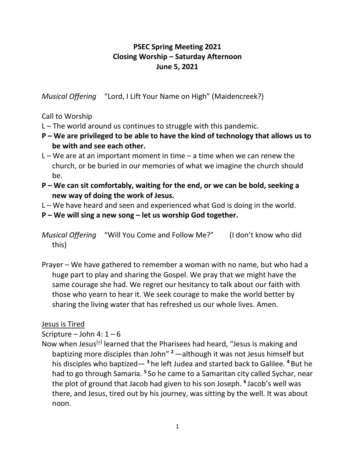# **PSEC Spring Meeting 2021 Closing Worship – Saturday Afternoon June 5, 2021**

*Musical Offering* "Lord, I Lift Your Name on High" (Maidencreek?)

Call to Worship

- L The world around us continues to struggle with this pandemic.
- **P – We are privileged to be able to have the kind of technology that allows us to be with and see each other.**
- $L W$ e are at an important moment in time a time when we can renew the church, or be buried in our memories of what we imagine the church should be.
- **P – We can sit comfortably, waiting for the end, or we can be bold, seeking a new way of doing the work of Jesus.**
- L We have heard and seen and experienced what God is doing in the world.
- **P – We will sing a new song – let us worship God together.**

*Musical Offering* "Will You Come and Follow Me?" (I don't know who did this)

Prayer – We have gathered to remember a woman with no name, but who had a huge part to play and sharing the Gospel. We pray that we might have the same courage she had. We regret our hesitancy to talk about our faith with those who yearn to hear it. We seek courage to make the world better by sharing the living water that has refreshed us our whole lives. Amen.

## Jesus is Tired

Scripture – John 4:  $1-6$ 

Now when Jesus<sup>[\[a\]](https://www.biblegateway.com/passage/?search=John+4%3A+1-6&version=NRSV#fen-NRSV-26148a)</sup> learned that the Pharisees had heard, "Jesus is making and baptizing more disciples than John" **<sup>2</sup>**—although it was not Jesus himself but his disciples who baptized— **<sup>3</sup>** he left Judea and started back to Galilee. **<sup>4</sup>** But he had to go through Samaria. **<sup>5</sup>** So he came to a Samaritan city called Sychar, near the plot of ground that Jacob had given to his son Joseph. **<sup>6</sup>** Jacob's well was there, and Jesus, tired out by his journey, was sitting by the well. It was about noon.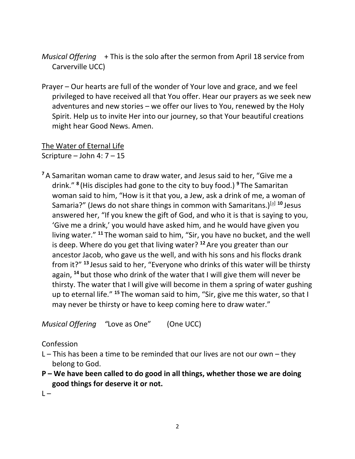- *Musical Offering* + This is the solo after the sermon from April 18 service from Carverville UCC)
- Prayer Our hearts are full of the wonder of Your love and grace, and we feel privileged to have received all that You offer. Hear our prayers as we seek new adventures and new stories – we offer our lives to You, renewed by the Holy Spirit. Help us to invite Her into our journey, so that Your beautiful creations might hear Good News. Amen.

The Water of Eternal Life Scripture – John 4:  $7 - 15$ 

**<sup>7</sup>** A Samaritan woman came to draw water, and Jesus said to her, "Give me a drink." **<sup>8</sup>** (His disciples had gone to the city to buy food.) **<sup>9</sup>** The Samaritan woman said to him, "How is it that you, a Jew, ask a drink of me, a woman of Samaria?" (Jews do not share things in common with Samaritans.)<sup>[\[a\]](https://www.biblegateway.com/passage/?search=John+4%3A+7-15&version=NRSV#fen-NRSV-26156a) 10</sup> Jesus answered her, "If you knew the gift of God, and who it is that is saying to you, 'Give me a drink,' you would have asked him, and he would have given you living water." **<sup>11</sup>** The woman said to him, "Sir, you have no bucket, and the well is deep. Where do you get that living water? **<sup>12</sup>** Are you greater than our ancestor Jacob, who gave us the well, and with his sons and his flocks drank from it?" **<sup>13</sup>** Jesus said to her, "Everyone who drinks of this water will be thirsty again, **<sup>14</sup>** but those who drink of the water that I will give them will never be thirsty. The water that I will give will become in them a spring of water gushing up to eternal life." **<sup>15</sup>** The woman said to him, "Sir, give me this water, so that I may never be thirsty or have to keep coming here to draw water."

*Musical Offering "*Love as One" (One UCC)

### Confession

- L This has been a time to be reminded that our lives are not our own they belong to God.
- **P – We have been called to do good in all things, whether those we are doing good things for deserve it or not.**

 $\vert - \vert$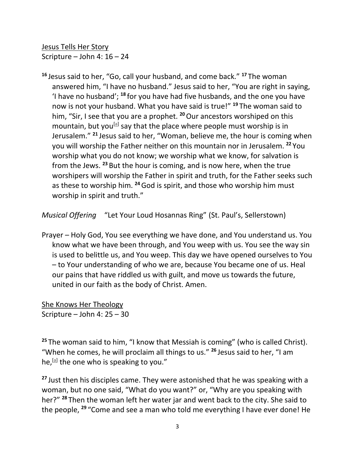Jesus Tells Her Story Scripture – John 4: 16 – 24

**<sup>16</sup>** Jesus said to her, "Go, call your husband, and come back." **<sup>17</sup>** The woman answered him, "I have no husband." Jesus said to her, "You are right in saying, 'I have no husband'; **<sup>18</sup>** for you have had five husbands, and the one you have now is not your husband. What you have said is true!" **<sup>19</sup>** The woman said to him, "Sir, I see that you are a prophet. **<sup>20</sup>**Our ancestors worshiped on this mountain, but you<sup>[\[a\]](https://www.biblegateway.com/passage/?search=John+4%3A+16-24&version=NRSV#fen-NRSV-26167a)</sup> say that the place where people must worship is in Jerusalem." **<sup>21</sup>** Jesus said to her, "Woman, believe me, the hour is coming when you will worship the Father neither on this mountain nor in Jerusalem. **<sup>22</sup>** You worship what you do not know; we worship what we know, for salvation is from the Jews. **<sup>23</sup>** But the hour is coming, and is now here, when the true worshipers will worship the Father in spirit and truth, for the Father seeks such as these to worship him. **<sup>24</sup>**God is spirit, and those who worship him must worship in spirit and truth."

*Musical Offering* "Let Your Loud Hosannas Ring" (St. Paul's, Sellerstown)

Prayer – Holy God, You see everything we have done, and You understand us. You know what we have been through, and You weep with us. You see the way sin is used to belittle us, and You weep. This day we have opened ourselves to You – to Your understanding of who we are, because You became one of us. Heal our pains that have riddled us with guilt, and move us towards the future, united in our faith as the body of Christ. Amen.

She Knows Her Theology Scripture – John 4: 25 – 30

**<sup>25</sup>** The woman said to him, "I know that Messiah is coming" (who is called Christ). "When he comes, he will proclaim all things to us." **<sup>26</sup>** Jesus said to her, "I am he,<sup>[\[a\]](https://www.biblegateway.com/passage/?search=John+4%3A+25-30&version=NRSV#fen-NRSV-26173a)</sup> the one who is speaking to you."

**<sup>27</sup>** Just then his disciples came. They were astonished that he was speaking with a woman, but no one said, "What do you want?" or, "Why are you speaking with her?" **<sup>28</sup>** Then the woman left her water jar and went back to the city. She said to the people, **<sup>29</sup>** "Come and see a man who told me everything I have ever done! He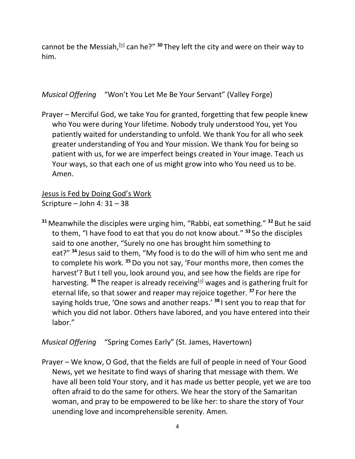cannot be the Messiah,<sup>[\[b\]](https://www.biblegateway.com/passage/?search=John+4%3A+25-30&version=NRSV#fen-NRSV-26176b)</sup> can he?" <sup>30</sup> They left the city and were on their way to him.

*Musical Offering* "Won't You Let Me Be Your Servant" (Valley Forge)

Prayer – Merciful God, we take You for granted, forgetting that few people knew who You were during Your lifetime. Nobody truly understood You, yet You patiently waited for understanding to unfold. We thank You for all who seek greater understanding of You and Your mission. We thank You for being so patient with us, for we are imperfect beings created in Your image. Teach us Your ways, so that each one of us might grow into who You need us to be. Amen.

Jesus is Fed by Doing God's Work Scripture – John 4: 31 – 38

**<sup>31</sup>** Meanwhile the disciples were urging him, "Rabbi, eat something." **<sup>32</sup>** But he said to them, "I have food to eat that you do not know about." **<sup>33</sup>** So the disciples said to one another, "Surely no one has brought him something to eat?" **<sup>34</sup>** Jesus said to them, "My food is to do the will of him who sent me and to complete his work. **<sup>35</sup>**Do you not say, 'Four months more, then comes the harvest'? But I tell you, look around you, and see how the fields are ripe for harvesting. <sup>36</sup> The reaper is already receiving<sup>[\[a\]](https://www.biblegateway.com/passage/?search=John+4%3A+31-38&version=NRSV#fen-NRSV-26183a)</sup> wages and is gathering fruit for eternal life, so that sower and reaper may rejoice together. **<sup>37</sup>** For here the saying holds true, 'One sows and another reaps.' **<sup>38</sup>** I sent you to reap that for which you did not labor. Others have labored, and you have entered into their labor."

*Musical Offering* "Spring Comes Early" (St. James, Havertown)

Prayer – We know, O God, that the fields are full of people in need of Your Good News, yet we hesitate to find ways of sharing that message with them. We have all been told Your story, and it has made us better people, yet we are too often afraid to do the same for others. We hear the story of the Samaritan woman, and pray to be empowered to be like her: to share the story of Your unending love and incomprehensible serenity. Amen.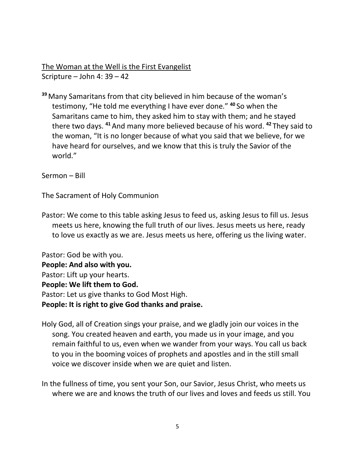The Woman at the Well is the First Evangelist Scripture – John 4: 39 – 42

**<sup>39</sup>** Many Samaritans from that city believed in him because of the woman's testimony, "He told me everything I have ever done." **<sup>40</sup>** So when the Samaritans came to him, they asked him to stay with them; and he stayed there two days. **<sup>41</sup>** And many more believed because of his word. **<sup>42</sup>** They said to the woman, "It is no longer because of what you said that we believe, for we have heard for ourselves, and we know that this is truly the Savior of the world."

Sermon – Bill

The Sacrament of Holy Communion

Pastor: We come to this table asking Jesus to feed us, asking Jesus to fill us. Jesus meets us here, knowing the full truth of our lives. Jesus meets us here, ready to love us exactly as we are. Jesus meets us here, offering us the living water.

Pastor: God be with you. **People: And also with you.** Pastor: Lift up your hearts. **People: We lift them to God.** Pastor: Let us give thanks to God Most High. **People: It is right to give God thanks and praise.**

- Holy God, all of Creation sings your praise, and we gladly join our voices in the song. You created heaven and earth, you made us in your image, and you remain faithful to us, even when we wander from your ways. You call us back to you in the booming voices of prophets and apostles and in the still small voice we discover inside when we are quiet and listen.
- In the fullness of time, you sent your Son, our Savior, Jesus Christ, who meets us where we are and knows the truth of our lives and loves and feeds us still. You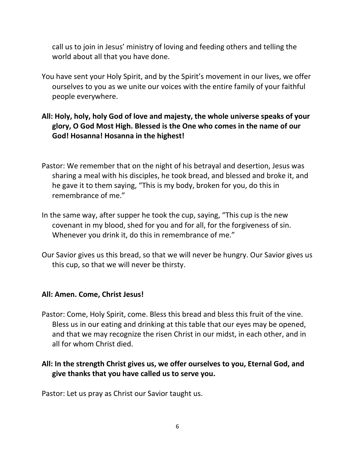call us to join in Jesus' ministry of loving and feeding others and telling the world about all that you have done.

- You have sent your Holy Spirit, and by the Spirit's movement in our lives, we offer ourselves to you as we unite our voices with the entire family of your faithful people everywhere.
- **All: Holy, holy, holy God of love and majesty, the whole universe speaks of your glory, O God Most High. Blessed is the One who comes in the name of our God! Hosanna! Hosanna in the highest!**
- Pastor: We remember that on the night of his betrayal and desertion, Jesus was sharing a meal with his disciples, he took bread, and blessed and broke it, and he gave it to them saying, "This is my body, broken for you, do this in remembrance of me."
- In the same way, after supper he took the cup, saying, "This cup is the new covenant in my blood, shed for you and for all, for the forgiveness of sin. Whenever you drink it, do this in remembrance of me."
- Our Savior gives us this bread, so that we will never be hungry. Our Savior gives us this cup, so that we will never be thirsty.

### **All: Amen. Come, Christ Jesus!**

Pastor: Come, Holy Spirit, come. Bless this bread and bless this fruit of the vine. Bless us in our eating and drinking at this table that our eyes may be opened, and that we may recognize the risen Christ in our midst, in each other, and in all for whom Christ died.

## **All: In the strength Christ gives us, we offer ourselves to you, Eternal God, and give thanks that you have called us to serve you.**

Pastor: Let us pray as Christ our Savior taught us.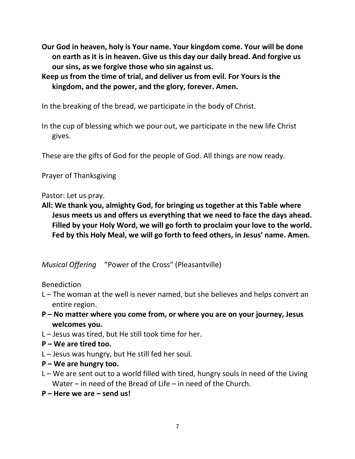- **Our God in heaven, holy is Your name. Your kingdom come. Your will be done on earth as it is in heaven. Give us this day our daily bread. And forgive us our sins, as we forgive those who sin against us.**
- **Keep us from the time of trial, and deliver us from evil. For Yours is the kingdom, and the power, and the glory, forever. Amen.**

In the breaking of the bread, we participate in the body of Christ.

In the cup of blessing which we pour out, we participate in the new life Christ gives.

These are the gifts of God for the people of God. All things are now ready.

Prayer of Thanksgiving

Pastor: Let us pray.

**All: We thank you, almighty God, for bringing us together at this Table where Jesus meets us and offers us everything that we need to face the days ahead. Filled by your Holy Word, we will go forth to proclaim your love to the world. Fed by this Holy Meal, we will go forth to feed others, in Jesus' name. Amen.**

*Musical Offering* "Power of the Cross" (Pleasantville)

Benediction

- L The woman at the well is never named, but she believes and helps convert an entire region.
- **P – No matter where you come from, or where you are on your journey, Jesus welcomes you.**
- L Jesus was tired, but He still took time for her.
- **P – We are tired too.**
- L Jesus was hungry, but He still fed her soul.
- **P – We are hungry too.**
- $L We$  are sent out to a world filled with tired, hungry souls in need of the Living Water – in need of the Bread of Life – in need of the Church.
- **P – Here we are – send us!**